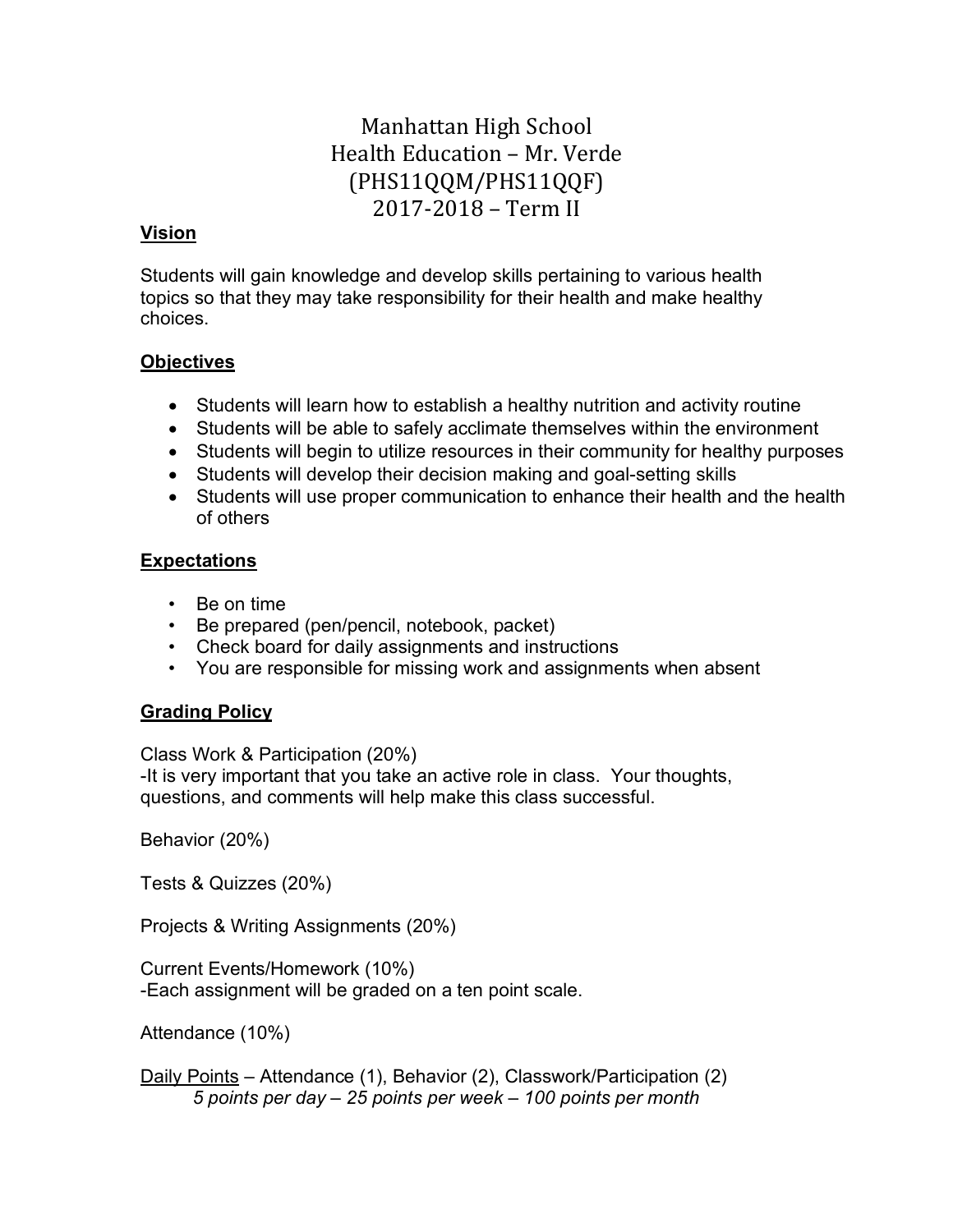# Manhattan High School Health Education – Mr. Verde (PHS11QQM/PHS11QQF) 2017-2018 – Term II

#### **Vision**

Students will gain knowledge and develop skills pertaining to various health topics so that they may take responsibility for their health and make healthy choices.

# **Objectives**

- Students will learn how to establish a healthy nutrition and activity routine
- Students will be able to safely acclimate themselves within the environment
- Students will begin to utilize resources in their community for healthy purposes
- Students will develop their decision making and goal-setting skills
- Students will use proper communication to enhance their health and the health of others

## **Expectations**

- Be on time
- Be prepared (pen/pencil, notebook, packet)
- Check board for daily assignments and instructions
- You are responsible for missing work and assignments when absent

# **Grading Policy**

Class Work & Participation (20%)

-It is very important that you take an active role in class. Your thoughts, questions, and comments will help make this class successful.

Behavior (20%)

Tests & Quizzes (20%)

Projects & Writing Assignments (20%)

Current Events/Homework (10%) -Each assignment will be graded on a ten point scale.

Attendance (10%)

Daily Points – Attendance (1), Behavior (2), Classwork/Participation (2) *5 points per day – 25 points per week – 100 points per month*